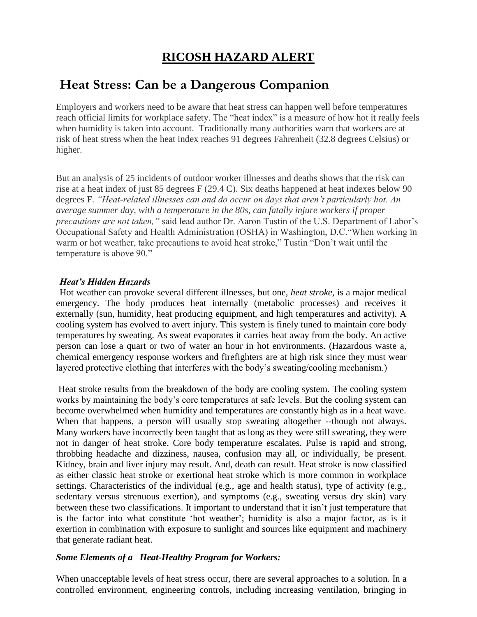# **RICOSH HAZARD ALERT**

## **Heat Stress: Can be a Dangerous Companion**

Employers and workers need to be aware that heat stress can happen well before temperatures reach official limits for workplace safety. The "heat index" is a measure of how hot it really feels when humidity is taken into account. Traditionally many authorities warn that workers are at risk of heat stress when the heat index reaches 91 degrees Fahrenheit (32.8 degrees Celsius) or higher.

But an analysis of 25 incidents of outdoor worker illnesses and deaths shows that the risk can rise at a heat index of just 85 degrees F (29.4 C). Six deaths happened at heat indexes below 90 degrees F. *"Heat-related illnesses can and do occur on days that aren't particularly hot. An average summer day, with a temperature in the 80s, can fatally injure workers if proper precautions are not taken,"* said lead author Dr. Aaron Tustin of the U.S. Department of Labor's Occupational Safety and Health Administration (OSHA) in Washington, D.C."When working in warm or hot weather, take precautions to avoid heat stroke," Tustin "Don't wait until the temperature is above 90."

#### *Heat's Hidden Hazards*

Hot weather can provoke several different illnesses, but one, *heat stroke*, is a major medical emergency. The body produces heat internally (metabolic processes) and receives it externally (sun, humidity, heat producing equipment, and high temperatures and activity). A cooling system has evolved to avert injury. This system is finely tuned to maintain core body temperatures by sweating. As sweat evaporates it carries heat away from the body. An active person can lose a quart or two of water an hour in hot environments. (Hazardous waste a, chemical emergency response workers and firefighters are at high risk since they must wear layered protective clothing that interferes with the body's sweating/cooling mechanism.)

Heat stroke results from the breakdown of the body are cooling system. The cooling system works by maintaining the body's core temperatures at safe levels. But the cooling system can become overwhelmed when humidity and temperatures are constantly high as in a heat wave. When that happens, a person will usually stop sweating altogether --though not always. Many workers have incorrectly been taught that as long as they were still sweating, they were not in danger of heat stroke. Core body temperature escalates. Pulse is rapid and strong, throbbing headache and dizziness, nausea, confusion may all, or individually, be present. Kidney, brain and liver injury may result. And, death can result. Heat stroke is now classified as either classic heat stroke or exertional heat stroke which is more common in workplace settings. Characteristics of the individual (e.g., age and health status), type of activity (e.g., sedentary versus strenuous exertion), and symptoms (e.g., sweating versus dry skin) vary between these two classifications. It important to understand that it isn't just temperature that is the factor into what constitute 'hot weather'; humidity is also a major factor, as is it exertion in combination with exposure to sunlight and sources like equipment and machinery that generate radiant heat.

#### *Some Elements of a Heat-Healthy Program for Workers:*

When unacceptable levels of heat stress occur, there are several approaches to a solution. In a controlled environment, engineering controls, including increasing ventilation, bringing in